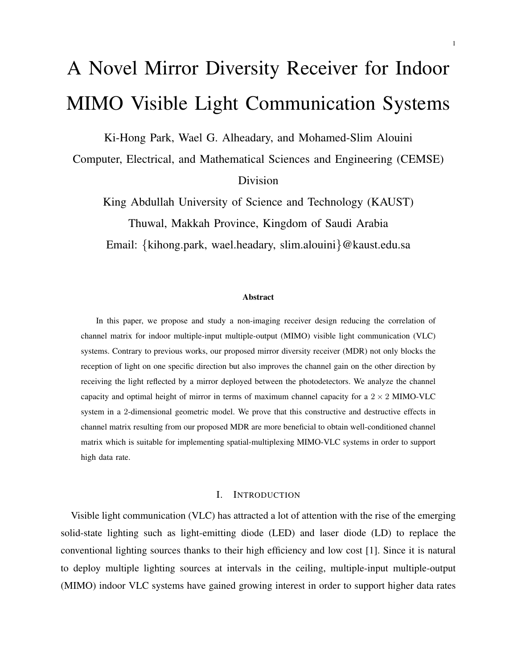# A Novel Mirror Diversity Receiver for Indoor MIMO Visible Light Communication Systems

Ki-Hong Park, Wael G. Alheadary, and Mohamed-Slim Alouini

Computer, Electrical, and Mathematical Sciences and Engineering (CEMSE) Division

King Abdullah University of Science and Technology (KAUST) Thuwal, Makkah Province, Kingdom of Saudi Arabia Email: *{*kihong.park, wael.headary, slim.alouini*}*@kaust.edu.sa

#### Abstract

In this paper, we propose and study a non-imaging receiver design reducing the correlation of channel matrix for indoor multiple-input multiple-output (MIMO) visible light communication (VLC) systems. Contrary to previous works, our proposed mirror diversity receiver (MDR) not only blocks the reception of light on one specific direction but also improves the channel gain on the other direction by receiving the light reflected by a mirror deployed between the photodetectors. We analyze the channel capacity and optimal height of mirror in terms of maximum channel capacity for a  $2 \times 2$  MIMO-VLC system in a 2-dimensional geometric model. We prove that this constructive and destructive effects in channel matrix resulting from our proposed MDR are more beneficial to obtain well-conditioned channel matrix which is suitable for implementing spatial-multiplexing MIMO-VLC systems in order to support high data rate.

#### I. INTRODUCTION

Visible light communication (VLC) has attracted a lot of attention with the rise of the emerging solid-state lighting such as light-emitting diode (LED) and laser diode (LD) to replace the conventional lighting sources thanks to their high efficiency and low cost [1]. Since it is natural to deploy multiple lighting sources at intervals in the ceiling, multiple-input multiple-output (MIMO) indoor VLC systems have gained growing interest in order to support higher data rates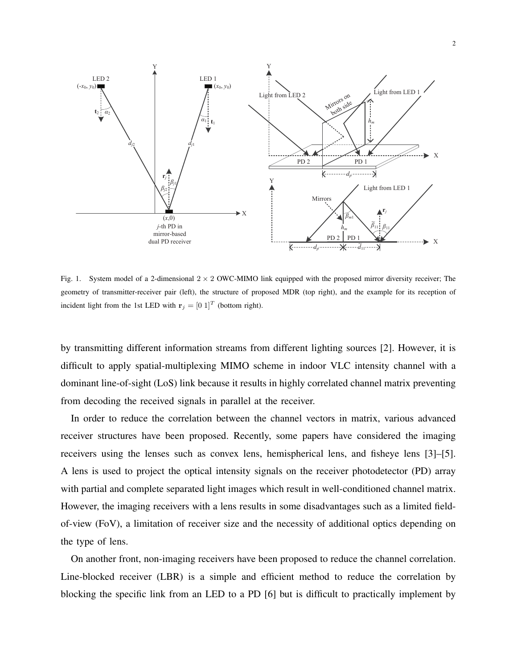

Fig. 1. System model of a 2-dimensional 2 *×* 2 OWC-MIMO link equipped with the proposed mirror diversity receiver; The geometry of transmitter-receiver pair (left), the structure of proposed MDR (top right), and the example for its reception of incident light from the 1st LED with  $\mathbf{r}_j = \begin{bmatrix} 0 \\ 1 \end{bmatrix}^T$  (bottom right).

by transmitting different information streams from different lighting sources [2]. However, it is difficult to apply spatial-multiplexing MIMO scheme in indoor VLC intensity channel with a dominant line-of-sight (LoS) link because it results in highly correlated channel matrix preventing from decoding the received signals in parallel at the receiver.

In order to reduce the correlation between the channel vectors in matrix, various advanced receiver structures have been proposed. Recently, some papers have considered the imaging receivers using the lenses such as convex lens, hemispherical lens, and fisheye lens [3]–[5]. A lens is used to project the optical intensity signals on the receiver photodetector (PD) array with partial and complete separated light images which result in well-conditioned channel matrix. However, the imaging receivers with a lens results in some disadvantages such as a limited fieldof-view (FoV), a limitation of receiver size and the necessity of additional optics depending on the type of lens.

On another front, non-imaging receivers have been proposed to reduce the channel correlation. Line-blocked receiver (LBR) is a simple and efficient method to reduce the correlation by blocking the specific link from an LED to a PD [6] but is difficult to practically implement by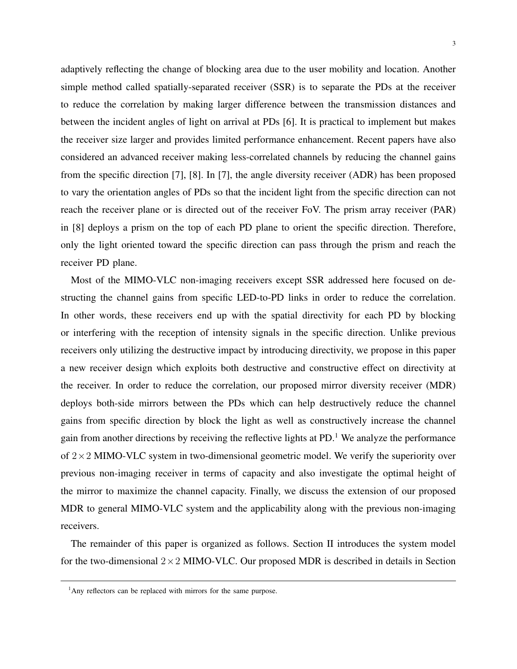adaptively reflecting the change of blocking area due to the user mobility and location. Another simple method called spatially-separated receiver (SSR) is to separate the PDs at the receiver to reduce the correlation by making larger difference between the transmission distances and between the incident angles of light on arrival at PDs [6]. It is practical to implement but makes the receiver size larger and provides limited performance enhancement. Recent papers have also considered an advanced receiver making less-correlated channels by reducing the channel gains from the specific direction [7], [8]. In [7], the angle diversity receiver (ADR) has been proposed to vary the orientation angles of PDs so that the incident light from the specific direction can not reach the receiver plane or is directed out of the receiver FoV. The prism array receiver (PAR) in [8] deploys a prism on the top of each PD plane to orient the specific direction. Therefore, only the light oriented toward the specific direction can pass through the prism and reach the receiver PD plane.

Most of the MIMO-VLC non-imaging receivers except SSR addressed here focused on destructing the channel gains from specific LED-to-PD links in order to reduce the correlation. In other words, these receivers end up with the spatial directivity for each PD by blocking or interfering with the reception of intensity signals in the specific direction. Unlike previous receivers only utilizing the destructive impact by introducing directivity, we propose in this paper a new receiver design which exploits both destructive and constructive effect on directivity at the receiver. In order to reduce the correlation, our proposed mirror diversity receiver (MDR) deploys both-side mirrors between the PDs which can help destructively reduce the channel gains from specific direction by block the light as well as constructively increase the channel gain from another directions by receiving the reflective lights at PD.<sup>1</sup> We analyze the performance of 2*×*2 MIMO-VLC system in two-dimensional geometric model. We verify the superiority over previous non-imaging receiver in terms of capacity and also investigate the optimal height of the mirror to maximize the channel capacity. Finally, we discuss the extension of our proposed MDR to general MIMO-VLC system and the applicability along with the previous non-imaging receivers.

The remainder of this paper is organized as follows. Section II introduces the system model for the two-dimensional 2*×*2 MIMO-VLC. Our proposed MDR is described in details in Section

 $<sup>1</sup>$ Any reflectors can be replaced with mirrors for the same purpose.</sup>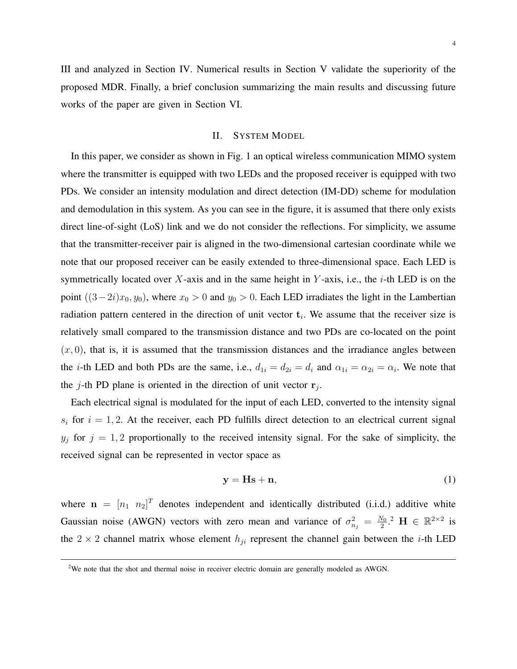III and analyzed in Section IV. Numerical results in Section V validate the superiority of the proposed MDR. Finally, a brief conclusion summarizing the main results and discussing future works of the paper are given in Section VI.

#### II. SYSTEM MODEL

In this paper, we consider as shown in Fig. 1 an optical wireless communication MIMO system where the transmitter is equipped with two LEDs and the proposed receiver is equipped with two PDs. We consider an intensity modulation and direct detection (IM-DD) scheme for modulation and demodulation in this system. As you can see in the figure, it is assumed that there only exists direct line-of-sight (LoS) link and we do not consider the reflections. For simplicity, we assume that the transmitter-receiver pair is aligned in the two-dimensional cartesian coordinate while we note that our proposed receiver can be easily extended to three-dimensional space. Each LED is symmetrically located over *X*-axis and in the same height in *Y* -axis, i.e., the *i*-th LED is on the point  $((3-2i)x_0, y_0)$ , where  $x_0 > 0$  and  $y_0 > 0$ . Each LED irradiates the light in the Lambertian radiation pattern centered in the direction of unit vector **t***<sup>i</sup>* . We assume that the receiver size is relatively small compared to the transmission distance and two PDs are co-located on the point  $(x, 0)$ , that is, it is assumed that the transmission distances and the irradiance angles between the *i*-th LED and both PDs are the same, i.e.,  $d_{1i} = d_{2i} = d_i$  and  $\alpha_{1i} = \alpha_{2i} = \alpha_i$ . We note that the *j*-th PD plane is oriented in the direction of unit vector  $\mathbf{r}_j$ .

Each electrical signal is modulated for the input of each LED, converted to the intensity signal  $s_i$  for  $i = 1, 2$ . At the receiver, each PD fulfills direct detection to an electrical current signal  $y_j$  for  $j = 1, 2$  proportionally to the received intensity signal. For the sake of simplicity, the received signal can be represented in vector space as

$$
y = Hs + n,\tag{1}
$$

where  $\mathbf{n} = [n_1 \ n_2]^T$  denotes independent and identically distributed (i.i.d.) additive white Gaussian noise (AWGN) vectors with zero mean and variance of  $\sigma_{n_j}^2 = \frac{N_0}{2}$  $\frac{V_0}{2}$ .<sup>2</sup> H ∈ ℝ<sup>2×2</sup> is the  $2 \times 2$  channel matrix whose element  $h_{ji}$  represent the channel gain between the *i*-th LED

<sup>&</sup>lt;sup>2</sup>We note that the shot and thermal noise in receiver electric domain are generally modeled as AWGN.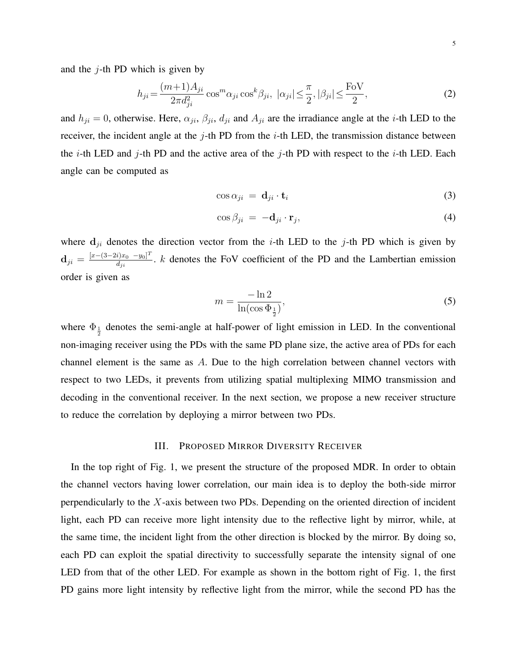and the *j*-th PD which is given by

$$
h_{ji} = \frac{(m+1)A_{ji}}{2\pi d_{ji}^2} \cos^m \alpha_{ji} \cos^k \beta_{ji}, \quad |\alpha_{ji}| \le \frac{\pi}{2}, |\beta_{ji}| \le \frac{\text{FoV}}{2},\tag{2}
$$

and  $h_{ji} = 0$ , otherwise. Here,  $\alpha_{ji}$ ,  $\beta_{ji}$ ,  $d_{ji}$  and  $A_{ji}$  are the irradiance angle at the *i*-th LED to the receiver, the incident angle at the *j*-th PD from the *i*-th LED, the transmission distance between the *i*-th LED and *j*-th PD and the active area of the *j*-th PD with respect to the *i*-th LED. Each angle can be computed as

$$
\cos \alpha_{ji} = \mathbf{d}_{ji} \cdot \mathbf{t}_i \tag{3}
$$

$$
\cos \beta_{ji} = -\mathbf{d}_{ji} \cdot \mathbf{r}_j,\tag{4}
$$

where  $\mathbf{d}_{ji}$  denotes the direction vector from the *i*-th LED to the *j*-th PD which is given by  $\mathbf{d}_{ji} = \frac{[x - (3 - 2i)x_0 - y_0]^T}{d_{ji}}$  $\frac{p_{jx_0} - y_0 - p}{d_{ji}}$ . *k* denotes the FoV coefficient of the PD and the Lambertian emission order is given as

$$
m = \frac{-\ln 2}{\ln(\cos \Phi_{\frac{1}{2}})},\tag{5}
$$

where  $\Phi_{\frac{1}{2}}$  denotes the semi-angle at half-power of light emission in LED. In the conventional non-imaging receiver using the PDs with the same PD plane size, the active area of PDs for each channel element is the same as *A*. Due to the high correlation between channel vectors with respect to two LEDs, it prevents from utilizing spatial multiplexing MIMO transmission and decoding in the conventional receiver. In the next section, we propose a new receiver structure to reduce the correlation by deploying a mirror between two PDs.

#### III. PROPOSED MIRROR DIVERSITY RECEIVER

In the top right of Fig. 1, we present the structure of the proposed MDR. In order to obtain the channel vectors having lower correlation, our main idea is to deploy the both-side mirror perpendicularly to the *X*-axis between two PDs. Depending on the oriented direction of incident light, each PD can receive more light intensity due to the reflective light by mirror, while, at the same time, the incident light from the other direction is blocked by the mirror. By doing so, each PD can exploit the spatial directivity to successfully separate the intensity signal of one LED from that of the other LED. For example as shown in the bottom right of Fig. 1, the first PD gains more light intensity by reflective light from the mirror, while the second PD has the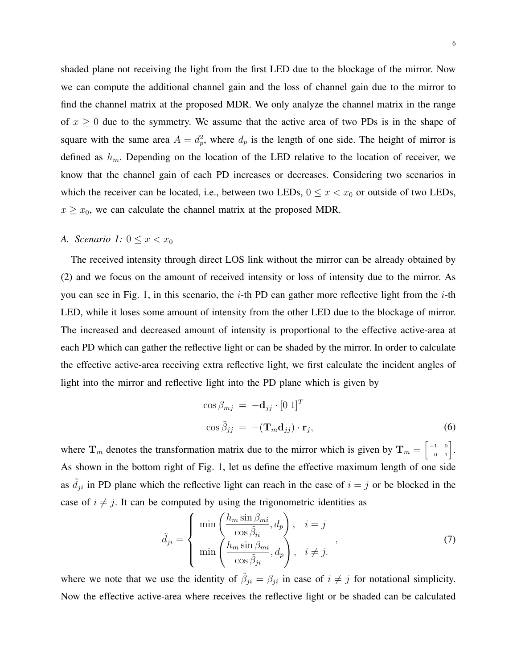shaded plane not receiving the light from the first LED due to the blockage of the mirror. Now we can compute the additional channel gain and the loss of channel gain due to the mirror to find the channel matrix at the proposed MDR. We only analyze the channel matrix in the range of  $x \geq 0$  due to the symmetry. We assume that the active area of two PDs is in the shape of square with the same area  $A = d_p^2$ , where  $d_p$  is the length of one side. The height of mirror is defined as *hm*. Depending on the location of the LED relative to the location of receiver, we know that the channel gain of each PD increases or decreases. Considering two scenarios in which the receiver can be located, i.e., between two LEDs,  $0 \le x < x_0$  or outside of two LEDs,  $x \geq x_0$ , we can calculate the channel matrix at the proposed MDR.

## *A. Scenario 1:*  $0 \le x < x_0$

The received intensity through direct LOS link without the mirror can be already obtained by (2) and we focus on the amount of received intensity or loss of intensity due to the mirror. As you can see in Fig. 1, in this scenario, the *i*-th PD can gather more reflective light from the *i*-th LED, while it loses some amount of intensity from the other LED due to the blockage of mirror. The increased and decreased amount of intensity is proportional to the effective active-area at each PD which can gather the reflective light or can be shaded by the mirror. In order to calculate the effective active-area receiving extra reflective light, we first calculate the incident angles of light into the mirror and reflective light into the PD plane which is given by

$$
\cos \beta_{mj} = -\mathbf{d}_{jj} \cdot [0 \ 1]^T
$$

$$
\cos \tilde{\beta}_{jj} = -(\mathbf{T}_m \mathbf{d}_{jj}) \cdot \mathbf{r}_j,
$$
(6)

where  $\mathbf{T}_m$  denotes the transformation matrix due to the mirror which is given by  $\mathbf{T}_m = \begin{bmatrix} -1 & 0 \\ 0 & 1 \end{bmatrix}$ . As shown in the bottom right of Fig. 1, let us define the effective maximum length of one side as  $\tilde{d}_{ji}$  in PD plane which the reflective light can reach in the case of  $i = j$  or be blocked in the case of  $i \neq j$ . It can be computed by using the trigonometric identities as

$$
\tilde{d}_{ji} = \begin{cases}\n\min\left(\frac{h_m \sin \beta_{mi}}{\cos \tilde{\beta}_{ii}}, d_p\right), & i = j \\
\min\left(\frac{h_m \sin \beta_{mi}}{\cos \tilde{\beta}_{ji}}, d_p\right), & i \neq j.\n\end{cases}
$$
\n(7)

where we note that we use the identity of  $\tilde{\beta}_{ji} = \beta_{ji}$  in case of  $i \neq j$  for notational simplicity. Now the effective active-area where receives the reflective light or be shaded can be calculated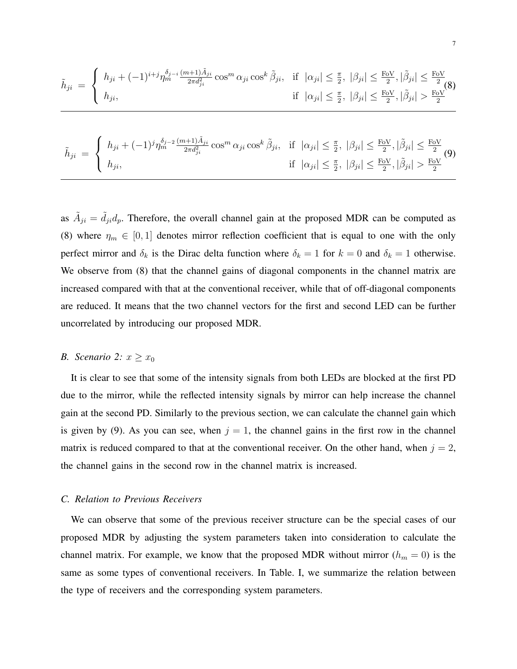$$
\tilde{h}_{ji} = \begin{cases}\nh_{ji} + (-1)^{i+j} \eta_m^{\delta_{j-i}} \frac{(m+1)\tilde{A}_{ji}}{2\pi d_{ji}^2} \cos^m \alpha_{ji} \cos^k \tilde{\beta}_{ji}, & \text{if } |\alpha_{ji}| \leq \frac{\pi}{2}, |\beta_{ji}| \leq \frac{\text{FoV}}{2}, |\tilde{\beta}_{ji}| \leq \frac{\text{FoV}}{2} \\
h_{ji}, & \text{if } |\alpha_{ji}| \leq \frac{\pi}{2}, |\beta_{ji}| \leq \frac{\text{FoV}}{2}, |\tilde{\beta}_{ji}| > \frac{\text{FoV}}{2}\n\end{cases}
$$

$$
\tilde{h}_{ji} = \begin{cases}\nh_{ji} + (-1)^j \eta_m^{\delta_{j-2}} \frac{(m+1)\tilde{A}_{ji}}{2\pi d_{ji}^2} \cos^m \alpha_{ji} \cos^k \tilde{\beta}_{ji}, & \text{if } |\alpha_{ji}| \leq \frac{\pi}{2}, |\beta_{ji}| \leq \frac{\text{FoV}}{2}, |\tilde{\beta}_{ji}| \leq \frac{\text{FoV}}{2} \\
h_{ji}, & \text{if } |\alpha_{ji}| \leq \frac{\pi}{2}, |\beta_{ji}| \leq \frac{\text{FoV}}{2}, |\tilde{\beta}_{ji}| > \frac{\text{FoV}}{2}\n\end{cases}
$$

as  $\tilde{A}_{ji} = \tilde{d}_{ji} d_p$ . Therefore, the overall channel gain at the proposed MDR can be computed as (8) where  $\eta_m \in [0,1]$  denotes mirror reflection coefficient that is equal to one with the only perfect mirror and  $\delta_k$  is the Dirac delta function where  $\delta_k = 1$  for  $k = 0$  and  $\delta_k = 1$  otherwise. We observe from (8) that the channel gains of diagonal components in the channel matrix are increased compared with that at the conventional receiver, while that of off-diagonal components are reduced. It means that the two channel vectors for the first and second LED can be further uncorrelated by introducing our proposed MDR.

## *B. Scenario* 2:  $x \geq x_0$

It is clear to see that some of the intensity signals from both LEDs are blocked at the first PD due to the mirror, while the reflected intensity signals by mirror can help increase the channel gain at the second PD. Similarly to the previous section, we can calculate the channel gain which is given by (9). As you can see, when  $j = 1$ , the channel gains in the first row in the channel matrix is reduced compared to that at the conventional receiver. On the other hand, when  $j = 2$ , the channel gains in the second row in the channel matrix is increased.

#### *C. Relation to Previous Receivers*

We can observe that some of the previous receiver structure can be the special cases of our proposed MDR by adjusting the system parameters taken into consideration to calculate the channel matrix. For example, we know that the proposed MDR without mirror  $(h_m = 0)$  is the same as some types of conventional receivers. In Table. I, we summarize the relation between the type of receivers and the corresponding system parameters.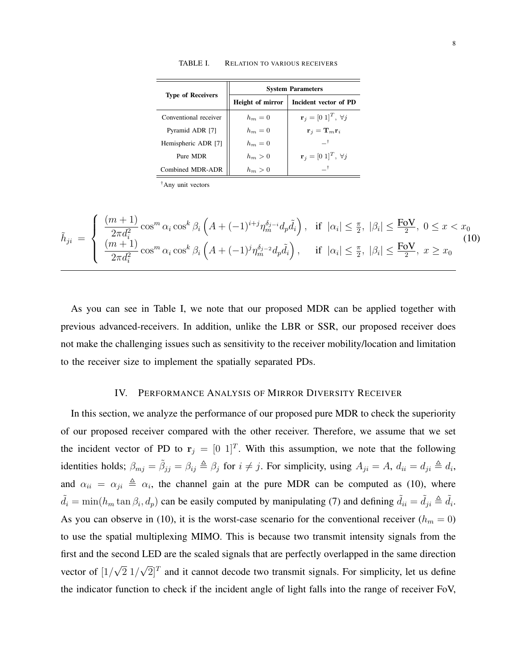| <b>Type of Receivers</b> | <b>System Parameters</b> |                                           |  |
|--------------------------|--------------------------|-------------------------------------------|--|
|                          | Height of mirror         | Incident vector of PD                     |  |
| Conventional receiver    | $h_m=0$                  | ${\bf r}_i = [0\;1]^T, \; \forall j$      |  |
| Pyramid ADR [7]          | $h_m=0$                  | ${\bf r}_i={\bf T}_m{\bf r}_i$            |  |
| Hemispheric ADR [7]      | $h_m=0$                  | $+$                                       |  |
| Pure MDR                 | $h_m > 0$                | $\mathbf{r}_i = [0 \; 1]^T, \; \forall j$ |  |
| Combined MDR-ADR         | $h_m > 0$                |                                           |  |

TABLE I. RELATION TO VARIOUS RECEIVERS

†Any unit vectors

$$
\tilde{h}_{ji} = \begin{cases}\n\frac{(m+1)}{2\pi d_i^2} \cos^m \alpha_i \cos^k \beta_i \left( A + (-1)^{i+j} \eta_m^{\delta_{j-i}} d_p \tilde{d}_i \right), & \text{if } |\alpha_i| \leq \frac{\pi}{2}, |\beta_i| \leq \frac{\text{FoV}}{2}, 0 \leq x < x_0 \\
\frac{(m+1)}{2\pi d_i^2} \cos^m \alpha_i \cos^k \beta_i \left( A + (-1)^j \eta_m^{\delta_{j-2}} d_p \tilde{d}_i \right), & \text{if } |\alpha_i| \leq \frac{\pi}{2}, |\beta_i| \leq \frac{\text{FoV}}{2}, x \geq x_0\n\end{cases}
$$
\n(10)

As you can see in Table I, we note that our proposed MDR can be applied together with previous advanced-receivers. In addition, unlike the LBR or SSR, our proposed receiver does not make the challenging issues such as sensitivity to the receiver mobility/location and limitation to the receiver size to implement the spatially separated PDs.

#### IV. PERFORMANCE ANALYSIS OF MIRROR DIVERSITY RECEIVER

In this section, we analyze the performance of our proposed pure MDR to check the superiority of our proposed receiver compared with the other receiver. Therefore, we assume that we set the incident vector of PD to  $\mathbf{r}_j = [0 \ 1]^T$ . With this assumption, we note that the following identities holds;  $\beta_{mj} = \tilde{\beta}_{jj} = \beta_{ij} \triangleq \beta_j$  for  $i \neq j$ . For simplicity, using  $A_{ji} = A$ ,  $d_{ii} = d_{ji} \triangleq d_i$ , and  $\alpha_{ii} = \alpha_{ji} \triangleq \alpha_i$ , the channel gain at the pure MDR can be computed as (10), where  $\tilde{d}_i = \min(h_m \tan \beta_i, d_p)$  can be easily computed by manipulating (7) and defining  $\tilde{d}_{ii} = \tilde{d}_{ji} \triangleq \tilde{d}_i$ . As you can observe in (10), it is the worst-case scenario for the conventional receiver ( $h_m = 0$ ) to use the spatial multiplexing MIMO. This is because two transmit intensity signals from the first and the second LED are the scaled signals that are perfectly overlapped in the same direction vector of [1*/ √* 2 1*/ √*  $\mathbb{Z}$ <sup>T</sup> and it cannot decode two transmit signals. For simplicity, let us define the indicator function to check if the incident angle of light falls into the range of receiver FoV,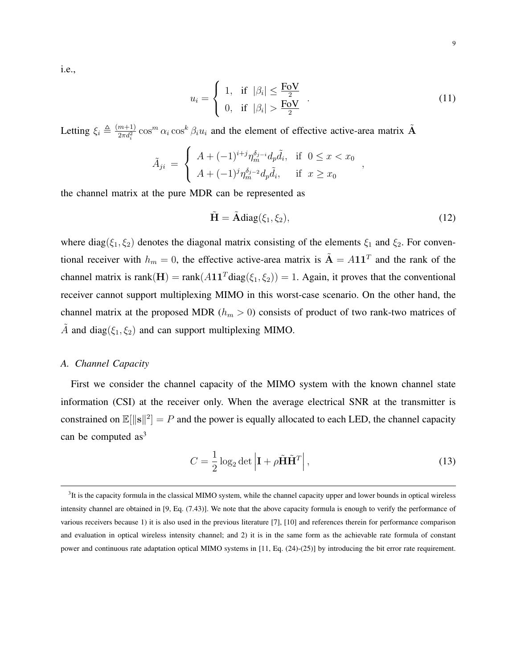i.e.,

$$
u_i = \begin{cases} 1, & \text{if } |\beta_i| \le \frac{\text{FoV}}{2} \\ 0, & \text{if } |\beta_i| > \frac{\text{FoV}}{2} \end{cases} .
$$
 (11)

Letting  $\xi_i \triangleq \frac{(m+1)}{2\pi d_i^2}$  $\frac{m+1}{2\pi d_i^2}$  cos<sup>*n*</sup></sup>  $\alpha_i$  cos<sup>*k*</sup>  $\beta_i u_i$  and the element of effective active-area matrix  $\tilde{A}$ 

$$
\tilde{A}_{ji} = \begin{cases}\nA + (-1)^{i+j} \eta_m^{\delta_j - i} d_p \tilde{d}_i, & \text{if } 0 \le x < x_0 \\
A + (-1)^j \eta_m^{\delta_j - 2} d_p \tilde{d}_i, & \text{if } x \ge x_0\n\end{cases}
$$

the channel matrix at the pure MDR can be represented as

$$
\tilde{\mathbf{H}} = \tilde{\mathbf{A}} \text{diag}(\xi_1, \xi_2),\tag{12}
$$

*,*

where diag( $\xi_1, \xi_2$ ) denotes the diagonal matrix consisting of the elements  $\xi_1$  and  $\xi_2$ . For conventional receiver with  $h_m = 0$ , the effective active-area matrix is  $\tilde{A} = A11^T$  and the rank of the channel matrix is rank $(H)$  = rank $(A11^T diag(\xi_1, \xi_2))$  = 1. Again, it proves that the conventional receiver cannot support multiplexing MIMO in this worst-case scenario. On the other hand, the channel matrix at the proposed MDR ( $h_m > 0$ ) consists of product of two rank-two matrices of  $\tilde{A}$  and diag( $\xi_1, \xi_2$ ) and can support multiplexing MIMO.

### *A. Channel Capacity*

First we consider the channel capacity of the MIMO system with the known channel state information (CSI) at the receiver only. When the average electrical SNR at the transmitter is constrained on  $\mathbb{E}[\|\mathbf{s}\|^2] = P$  and the power is equally allocated to each LED, the channel capacity can be computed  $as<sup>3</sup>$ 

$$
C = \frac{1}{2} \log_2 \det \left| \mathbf{I} + \rho \tilde{\mathbf{H}} \tilde{\mathbf{H}}^T \right|,\tag{13}
$$

 ${}^{3}$ It is the capacity formula in the classical MIMO system, while the channel capacity upper and lower bounds in optical wireless intensity channel are obtained in [9, Eq. (7.43)]. We note that the above capacity formula is enough to verify the performance of various receivers because 1) it is also used in the previous literature [7], [10] and references therein for performance comparison and evaluation in optical wireless intensity channel; and 2) it is in the same form as the achievable rate formula of constant power and continuous rate adaptation optical MIMO systems in [11, Eq. (24)-(25)] by introducing the bit error rate requirement.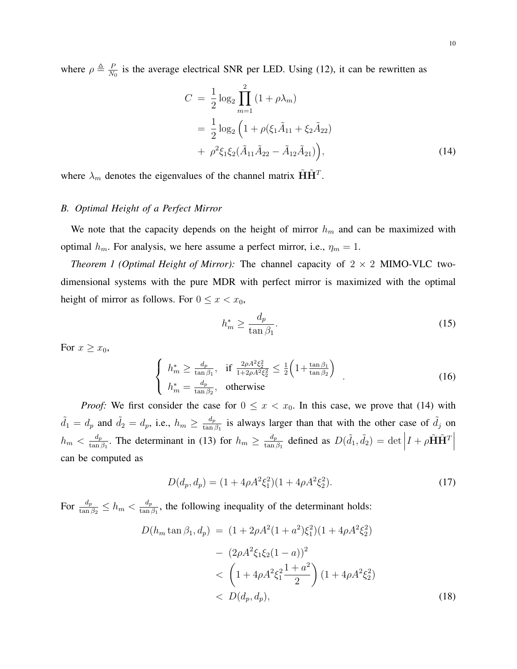where  $\rho \triangleq \frac{P}{N}$  $\frac{P}{N_0}$  is the average electrical SNR per LED. Using (12), it can be rewritten as

$$
C = \frac{1}{2} \log_2 \prod_{m=1}^{2} (1 + \rho \lambda_m)
$$
  
=  $\frac{1}{2} \log_2 \left( 1 + \rho (\xi_1 \tilde{A}_{11} + \xi_2 \tilde{A}_{22}) + \rho^2 \xi_1 \xi_2 (\tilde{A}_{11} \tilde{A}_{22} - \tilde{A}_{12} \tilde{A}_{21}) \right),$  (14)

where  $\lambda_m$  denotes the eigenvalues of the channel matrix  $\tilde{\mathbf{H}}\tilde{\mathbf{H}}^T$ .

## *B. Optimal Height of a Perfect Mirror*

We note that the capacity depends on the height of mirror  $h_m$  and can be maximized with optimal  $h_m$ . For analysis, we here assume a perfect mirror, i.e.,  $\eta_m = 1$ .

*Theorem 1 (Optimal Height of Mirror):* The channel capacity of  $2 \times 2$  MIMO-VLC twodimensional systems with the pure MDR with perfect mirror is maximized with the optimal height of mirror as follows. For  $0 \leq x < x_0$ ,

$$
h_m^* \ge \frac{d_p}{\tan \beta_1}.\tag{15}
$$

For  $x \geq x_0$ ,

$$
\begin{cases}\nh_m^* \ge \frac{d_p}{\tan \beta_1}, & \text{if } \frac{2\rho A^2 \xi_2^2}{1 + 2\rho A^2 \xi_2^2} \le \frac{1}{2} \left(1 + \frac{\tan \beta_1}{\tan \beta_2}\right) \\
h_m^* = \frac{d_p}{\tan \beta_2}, & \text{otherwise}\n\end{cases} \tag{16}
$$

*Proof:* We first consider the case for  $0 \le x < x_0$ . In this case, we prove that (14) with  $\tilde{d}_1 = d_p$  and  $\tilde{d}_2 = d_p$ , i.e.,  $h_m \geq \frac{d_p}{\tan \theta}$  $\frac{d_p}{\tan \beta_1}$  is always larger than that with the other case of  $\tilde{d}_j$  on  $h_m < \frac{d_p}{\tan \theta}$  $\frac{d_p}{\tan \beta_1}$ . The determinant in (13) for  $h_m \ge \frac{d_p}{\tan \beta_1}$  $\frac{d_p}{\tan \beta_1}$  defined as  $D(\tilde{d}_1, \tilde{d}_2) = \det \left| I + \rho \tilde{H} \tilde{H}^T \right|$ can be computed as

$$
D(d_p, d_p) = (1 + 4\rho A^2 \xi_1^2)(1 + 4\rho A^2 \xi_2^2). \tag{17}
$$

 $\text{For } \frac{d_p}{\tan \beta_2} \leq h_m < \frac{d_p}{\tan \beta_1}$  $\frac{a_p}{\tan \beta_1}$ , the following inequality of the determinant holds:

$$
D(h_m \tan \beta_1, d_p) = (1 + 2\rho A^2 (1 + a^2) \xi_1^2)(1 + 4\rho A^2 \xi_2^2)
$$
  

$$
- (2\rho A^2 \xi_1 \xi_2 (1 - a))^2
$$
  

$$
< \left(1 + 4\rho A^2 \xi_1^2 \frac{1 + a^2}{2}\right) (1 + 4\rho A^2 \xi_2^2)
$$
  

$$
< D(d_p, d_p), \qquad (18)
$$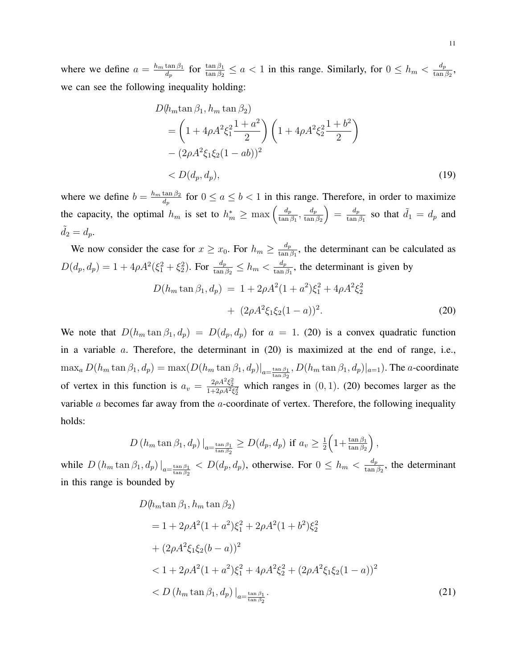where we define  $a = \frac{h_m \tan \beta_1}{d}$  $\frac{\tan \beta_1}{d_p}$  for  $\frac{\tan \beta_1}{\tan \beta_2} \le a < 1$  in this range. Similarly, for  $0 \le h_m < \frac{d_p}{\tan \beta_1}$  $\frac{a_p}{\tan\beta_2}$ , we can see the following inequality holding:

$$
D(h_m \tan \beta_1, h_m \tan \beta_2)
$$
  
=  $\left(1 + 4\rho A^2 \xi_1^2 \frac{1 + a^2}{2}\right) \left(1 + 4\rho A^2 \xi_2^2 \frac{1 + b^2}{2}\right)$   
-  $(2\rho A^2 \xi_1 \xi_2 (1 - ab))^2$   
<  $D(d_p, d_p)$ , (19)

where we define  $b = \frac{h_m \tan \beta_2}{d_a}$  $\frac{\tan \beta_2}{d_p}$  for  $0 \le a \le b < 1$  in this range. Therefore, in order to maximize the capacity, the optimal  $h_m$  is set to  $h_m^* \geq \max\left(\frac{d_p}{\tan p}\right)$  $\frac{d_p}{\tan \beta_1}, \frac{d_p}{\tan \beta_2}$  $\tan \beta_2$  $=$  $\frac{d_p}{tan}$  $\frac{d_p}{\tan \beta_1}$  so that  $\tilde{d}_1 = d_p$  and  $d_2 = d_p.$ 

We now consider the case for  $x \geq x_0$ . For  $h_m \geq \frac{d_p}{\tan \theta}$  $\frac{a_p}{\tan \beta_1}$ , the determinant can be calculated as  $D(d_p, d_p) = 1 + 4\rho A^2(\xi_1^2 + \xi_2^2)$ . For  $\frac{d_p}{\tan \beta_2} \le h_m < \frac{d_p}{\tan \beta_1}$  $\frac{a_p}{\tan \beta_1}$ , the determinant is given by

$$
D(h_m \tan \beta_1, d_p) = 1 + 2\rho A^2 (1 + a^2) \xi_1^2 + 4\rho A^2 \xi_2^2
$$
  
+ 
$$
(2\rho A^2 \xi_1 \xi_2 (1 - a))^2.
$$
 (20)

We note that  $D(h_m \tan \beta_1, d_p) = D(d_p, d_p)$  for  $a = 1$ . (20) is a convex quadratic function in a variable *a*. Therefore, the determinant in (20) is maximized at the end of range, i.e.,  $\max_a D(h_m \tan \beta_1, d_p) = \max(D(h_m \tan \beta_1, d_p)|_{a = \frac{\tan \beta_1}{\tan \beta_2}}, D(h_m \tan \beta_1, d_p)|_{a = 1})$ . The *a*-coordinate of vertex in this function is  $a_v = \frac{2\rho A^2 \xi_2^2}{1 + 2\rho A^2 \xi_2^2}$  which ranges in (0, 1). (20) becomes larger as the variable *a* becomes far away from the *a*-coordinate of vertex. Therefore, the following inequality holds:

$$
D\left(h_m \tan \beta_1, d_p\right)|_{a=\frac{\tan \beta_1}{\tan \beta_2}} \geq D(d_p, d_p) \text{ if } a_v \geq \frac{1}{2}\left(1+\frac{\tan \beta_1}{\tan \beta_2}\right),
$$

while  $D(h_m \tan \beta_1, d_p)|_{a=\frac{\tan \beta_1}{\tan \beta_2}} < D(d_p, d_p)$ , otherwise. For  $0 \le h_m < \frac{d_p}{\tan \beta_1}$  $\frac{a_p}{\tan \beta_2}$ , the determinant in this range is bounded by

$$
D(h_m \tan \beta_1, h_m \tan \beta_2)
$$
  
= 1 + 2\rho A^2 (1 + a^2) \xi\_1^2 + 2\rho A^2 (1 + b^2) \xi\_2^2  
+ (2\rho A^2 \xi\_1 \xi\_2 (b - a))^2  
< 1 + 2\rho A^2 (1 + a^2) \xi\_1^2 + 4\rho A^2 \xi\_2^2 + (2\rho A^2 \xi\_1 \xi\_2 (1 - a))^2  
< D (h\_m \tan \beta\_1, d\_p) |\_{a = \frac{\tan \beta\_1}{\tan \beta\_2}}. (21)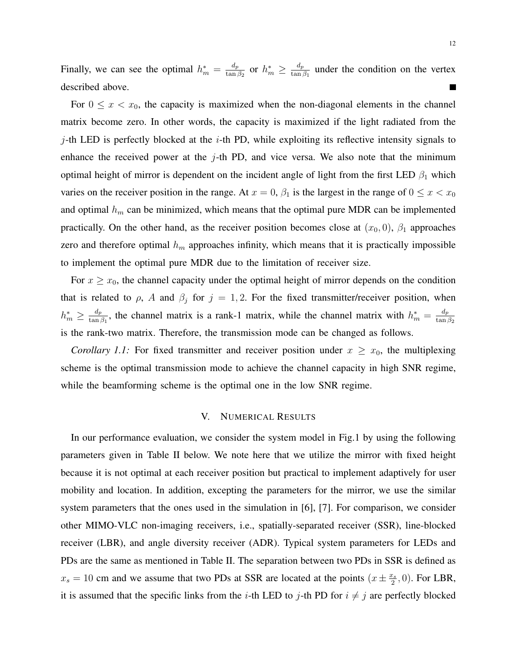Finally, we can see the optimal  $h_m^* = \frac{d_p}{\tan p}$  $\frac{d_p}{\tan \beta_2}$  or  $h^*_m \geq \frac{d_p}{\tan \beta_2}$  $\frac{a_p}{\tan \beta_1}$  under the condition on the vertex described above.  $\blacksquare$ 

For  $0 \leq x < x_0$ , the capacity is maximized when the non-diagonal elements in the channel matrix become zero. In other words, the capacity is maximized if the light radiated from the *j*-th LED is perfectly blocked at the *i*-th PD, while exploiting its reflective intensity signals to enhance the received power at the *j*-th PD, and vice versa. We also note that the minimum optimal height of mirror is dependent on the incident angle of light from the first LED  $\beta_1$  which varies on the receiver position in the range. At  $x = 0$ ,  $\beta_1$  is the largest in the range of  $0 \le x < x_0$ and optimal  $h_m$  can be minimized, which means that the optimal pure MDR can be implemented practically. On the other hand, as the receiver position becomes close at  $(x_0, 0)$ ,  $\beta_1$  approaches zero and therefore optimal *h<sup>m</sup>* approaches infinity, which means that it is practically impossible to implement the optimal pure MDR due to the limitation of receiver size.

For  $x \geq x_0$ , the channel capacity under the optimal height of mirror depends on the condition that is related to  $\rho$ , *A* and  $\beta_j$  for  $j = 1, 2$ . For the fixed transmitter/receiver position, when  $h_m^* \geq \frac{d_p}{\tan \rho}$  $\frac{d_p}{\tan \beta_1}$ , the channel matrix is a rank-1 matrix, while the channel matrix with  $h_m^* = \frac{d_p}{\tan \beta_1}$  $\tan \beta_2$ is the rank-two matrix. Therefore, the transmission mode can be changed as follows.

*Corollary 1.1:* For fixed transmitter and receiver position under  $x \geq x_0$ , the multiplexing scheme is the optimal transmission mode to achieve the channel capacity in high SNR regime, while the beamforming scheme is the optimal one in the low SNR regime.

#### V. NUMERICAL RESULTS

In our performance evaluation, we consider the system model in Fig.1 by using the following parameters given in Table II below. We note here that we utilize the mirror with fixed height because it is not optimal at each receiver position but practical to implement adaptively for user mobility and location. In addition, excepting the parameters for the mirror, we use the similar system parameters that the ones used in the simulation in [6], [7]. For comparison, we consider other MIMO-VLC non-imaging receivers, i.e., spatially-separated receiver (SSR), line-blocked receiver (LBR), and angle diversity receiver (ADR). Typical system parameters for LEDs and PDs are the same as mentioned in Table II. The separation between two PDs in SSR is defined as  $x_s = 10$  cm and we assume that two PDs at SSR are located at the points  $\left(x \pm \frac{x_s}{2}\right)$  $\frac{c_s}{2}$ , 0). For LBR, it is assumed that the specific links from the *i*-th LED to *j*-th PD for  $i \neq j$  are perfectly blocked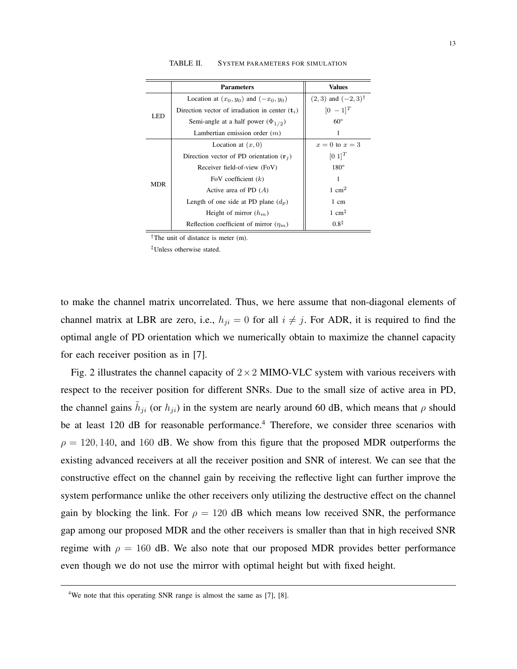|            | <b>Parameters</b>                                          | <b>Values</b>                         |  |  |
|------------|------------------------------------------------------------|---------------------------------------|--|--|
| LED        | Location at $(x_0, y_0)$ and $(-x_0, y_0)$                 | $(2,3)$ and $(-2,3)$ <sup>†</sup>     |  |  |
|            | Direction vector of irradiation in center $(\mathbf{t}_i)$ | $[0 - 1]^{T}$                         |  |  |
|            | Semi-angle at a half power $(\Phi_{1/2})$                  | $60^{\circ}$                          |  |  |
|            | Lambertian emission order $(m)$                            |                                       |  |  |
| <b>MDR</b> | Location at $(x, 0)$                                       | $x=0$ to $x=3$                        |  |  |
|            | Direction vector of PD orientation $(\mathbf{r}_j)$        | $[0\;1]^T$                            |  |  |
|            | Receiver field-of-view (FoV)                               | $180^\circ$                           |  |  |
|            | FoV coefficient $(k)$                                      | 1                                     |  |  |
|            | Active area of PD $(A)$                                    | 1 cm <sup>2</sup>                     |  |  |
|            | Length of one side at PD plane $(d_p)$                     | 1 cm                                  |  |  |
|            | Height of mirror $(h_m)$                                   | 1 cm <sup><math>\ddagger</math></sup> |  |  |
|            | Reflection coefficient of mirror $(\eta_m)$                | $0.8^{\ddagger}$                      |  |  |

TABLE II. SYSTEM PARAMETERS FOR SIMULATION

*†*The unit of distance is meter (m).

*‡*Unless otherwise stated.

to make the channel matrix uncorrelated. Thus, we here assume that non-diagonal elements of channel matrix at LBR are zero, i.e.,  $h_{ji} = 0$  for all  $i \neq j$ . For ADR, it is required to find the optimal angle of PD orientation which we numerically obtain to maximize the channel capacity for each receiver position as in [7].

Fig. 2 illustrates the channel capacity of 2*×*2 MIMO-VLC system with various receivers with respect to the receiver position for different SNRs. Due to the small size of active area in PD, the channel gains  $\tilde{h}_{ji}$  (or  $h_{ji}$ ) in the system are nearly around 60 dB, which means that  $\rho$  should be at least 120 dB for reasonable performance.<sup>4</sup> Therefore, we consider three scenarios with  $\rho = 120, 140,$  and 160 dB. We show from this figure that the proposed MDR outperforms the existing advanced receivers at all the receiver position and SNR of interest. We can see that the constructive effect on the channel gain by receiving the reflective light can further improve the system performance unlike the other receivers only utilizing the destructive effect on the channel gain by blocking the link. For  $\rho = 120$  dB which means low received SNR, the performance gap among our proposed MDR and the other receivers is smaller than that in high received SNR regime with  $\rho = 160$  dB. We also note that our proposed MDR provides better performance even though we do not use the mirror with optimal height but with fixed height.

 $4$ We note that this operating SNR range is almost the same as [7], [8].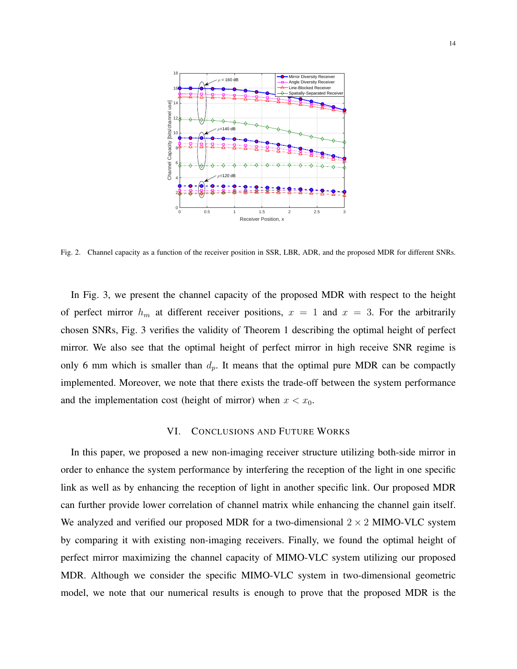

Fig. 2. Channel capacity as a function of the receiver position in SSR, LBR, ADR, and the proposed MDR for different SNRs.

In Fig. 3, we present the channel capacity of the proposed MDR with respect to the height of perfect mirror  $h_m$  at different receiver positions,  $x = 1$  and  $x = 3$ . For the arbitrarily chosen SNRs, Fig. 3 verifies the validity of Theorem 1 describing the optimal height of perfect mirror. We also see that the optimal height of perfect mirror in high receive SNR regime is only 6 mm which is smaller than  $d_p$ . It means that the optimal pure MDR can be compactly implemented. Moreover, we note that there exists the trade-off between the system performance and the implementation cost (height of mirror) when  $x < x_0$ .

#### VI. CONCLUSIONS AND FUTURE WORKS

In this paper, we proposed a new non-imaging receiver structure utilizing both-side mirror in order to enhance the system performance by interfering the reception of the light in one specific link as well as by enhancing the reception of light in another specific link. Our proposed MDR can further provide lower correlation of channel matrix while enhancing the channel gain itself. We analyzed and verified our proposed MDR for a two-dimensional  $2 \times 2$  MIMO-VLC system by comparing it with existing non-imaging receivers. Finally, we found the optimal height of perfect mirror maximizing the channel capacity of MIMO-VLC system utilizing our proposed MDR. Although we consider the specific MIMO-VLC system in two-dimensional geometric model, we note that our numerical results is enough to prove that the proposed MDR is the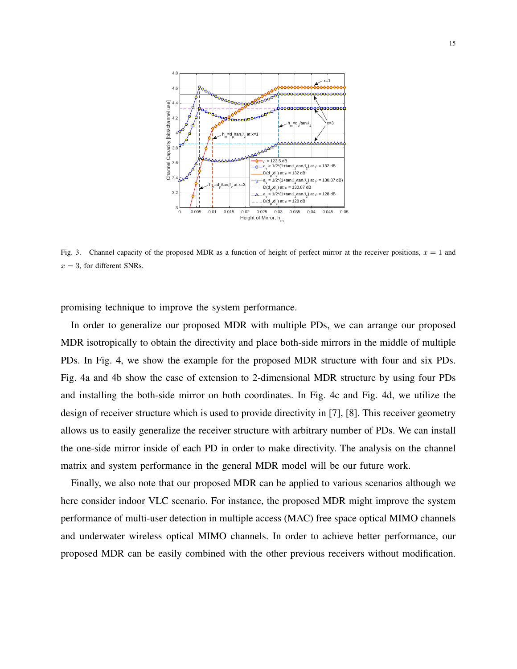

Fig. 3. Channel capacity of the proposed MDR as a function of height of perfect mirror at the receiver positions,  $x = 1$  and  $x = 3$ , for different SNRs.

promising technique to improve the system performance.

In order to generalize our proposed MDR with multiple PDs, we can arrange our proposed MDR isotropically to obtain the directivity and place both-side mirrors in the middle of multiple PDs. In Fig. 4, we show the example for the proposed MDR structure with four and six PDs. Fig. 4a and 4b show the case of extension to 2-dimensional MDR structure by using four PDs and installing the both-side mirror on both coordinates. In Fig. 4c and Fig. 4d, we utilize the design of receiver structure which is used to provide directivity in [7], [8]. This receiver geometry allows us to easily generalize the receiver structure with arbitrary number of PDs. We can install the one-side mirror inside of each PD in order to make directivity. The analysis on the channel matrix and system performance in the general MDR model will be our future work.

Finally, we also note that our proposed MDR can be applied to various scenarios although we here consider indoor VLC scenario. For instance, the proposed MDR might improve the system performance of multi-user detection in multiple access (MAC) free space optical MIMO channels and underwater wireless optical MIMO channels. In order to achieve better performance, our proposed MDR can be easily combined with the other previous receivers without modification.